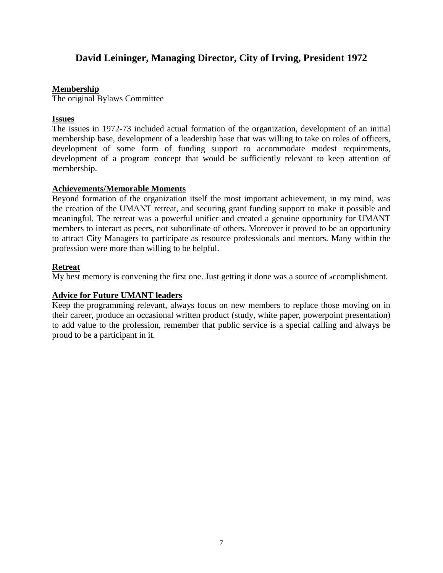# **David Leininger, Managing Director, City of Irving, President 1972**

# **Membership**

The original Bylaws Committee

# **Issues**

The issues in 1972-73 included actual formation of the organization, development of an initial membership base, development of a leadership base that was willing to take on roles of officers, development of some form of funding support to accommodate modest requirements, development of a program concept that would be sufficiently relevant to keep attention of membership.

# **Achievements/Memorable Moments**

Beyond formation of the organization itself the most important achievement, in my mind, was the creation of the UMANT retreat, and securing grant funding support to make it possible and meaningful. The retreat was a powerful unifier and created a genuine opportunity for UMANT members to interact as peers, not subordinate of others. Moreover it proved to be an opportunity to attract City Managers to participate as resource professionals and mentors. Many within the profession were more than willing to be helpful.

# **Retreat**

My best memory is convening the first one. Just getting it done was a source of accomplishment.

# **Advice for Future UMANT leaders**

Keep the programming relevant, always focus on new members to replace those moving on in their career, produce an occasional written product (study, white paper, powerpoint presentation) to add value to the profession, remember that public service is a special calling and always be proud to be a participant in it.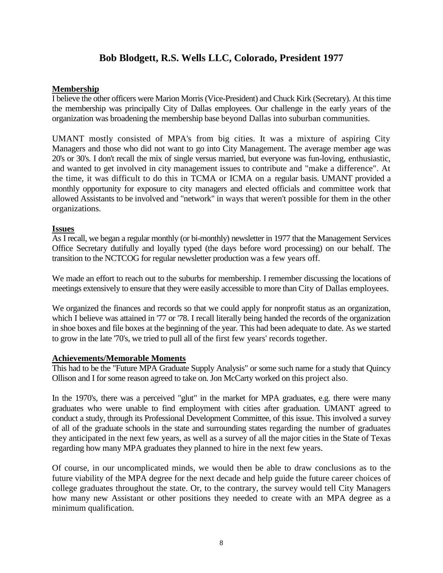# **Bob Blodgett, R.S. Wells LLC, Colorado, President 1977**

### **Membership**

I believe the other officers were Marion Morris (Vice-President) and Chuck Kirk (Secretary). At this time the membership was principally City of Dallas employees. Our challenge in the early years of the organization was broadening the membership base beyond Dallas into suburban communities.

UMANT mostly consisted of MPA's from big cities. It was a mixture of aspiring City Managers and those who did not want to go into City Management. The average member age was 20's or 30's. I don't recall the mix of single versus married, but everyone was fun-loving, enthusiastic, and wanted to get involved in city management issues to contribute and "make a difference". At the time, it was difficult to do this in TCMA or ICMA on a regular basis. UMANT provided a monthly opportunity for exposure to city managers and elected officials and committee work that allowed Assistants to be involved and "network" in ways that weren't possible for them in the other organizations.

#### **Issues**

As I recall, we began a regular monthly (or bi-monthly) newsletter in 1977 that the Management Services Office Secretary dutifully and loyally typed (the days before word processing) on our behalf. The transition to the NCTCOG for regular newsletter production was a few years off.

We made an effort to reach out to the suburbs for membership. I remember discussing the locations of meetings extensively to ensure that they were easily accessible to more than City of Dallas employees.

We organized the finances and records so that we could apply for nonprofit status as an organization, which I believe was attained in '77 or '78. I recall literally being handed the records of the organization in shoe boxes and file boxes at the beginning of the year. This had been adequate to date. As we started to grow in the late '70's, we tried to pull all of the first few years' records together.

### **Achievements/Memorable Moments**

This had to be the "Future MPA Graduate Supply Analysis" or some such name for a study that Quincy Ollison and I for some reason agreed to take on. Jon McCarty worked on this project also.

In the 1970's, there was a perceived "glut" in the market for MPA graduates, e.g. there were many graduates who were unable to find employment with cities after graduation. UMANT agreed to conduct a study, through its Professional Development Committee, of this issue. This involved a survey of all of the graduate schools in the state and surrounding states regarding the number of graduates they anticipated in the next few years, as well as a survey of all the major cities in the State of Texas regarding how many MPA graduates they planned to hire in the next few years.

Of course, in our uncomplicated minds, we would then be able to draw conclusions as to the future viability of the MPA degree for the next decade and help guide the future career choices of college graduates throughout the state. Or, to the contrary, the survey would tell City Managers how many new Assistant or other positions they needed to create with an MPA degree as a minimum qualification.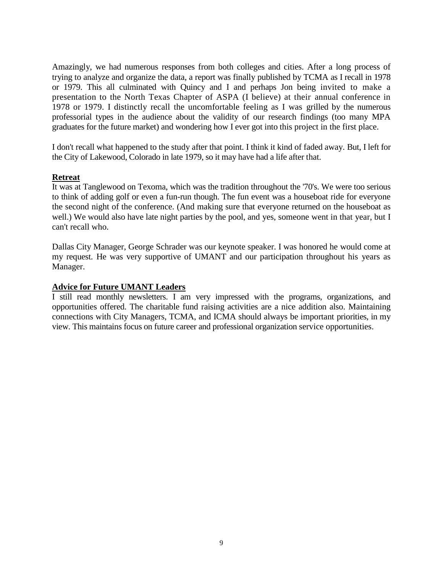Amazingly, we had numerous responses from both colleges and cities. After a long process of trying to analyze and organize the data, a report was finally published by TCMA as I recall in 1978 or 1979. This all culminated with Quincy and I and perhaps Jon being invited to make a presentation to the North Texas Chapter of ASPA (I believe) at their annual conference in 1978 or 1979. I distinctly recall the uncomfortable feeling as I was grilled by the numerous professorial types in the audience about the validity of our research findings (too many MPA graduates for the future market) and wondering how I ever got into this project in the first place.

I don't recall what happened to the study after that point. I think it kind of faded away. But, I left for the City of Lakewood, Colorado in late 1979, so it may have had a life after that.

#### **Retreat**

It was at Tanglewood on Texoma, which was the tradition throughout the '70's. We were too serious to think of adding golf or even a fun-run though. The fun event was a houseboat ride for everyone the second night of the conference. (And making sure that everyone returned on the houseboat as well.) We would also have late night parties by the pool, and yes, someone went in that year, but I can't recall who.

Dallas City Manager, George Schrader was our keynote speaker. I was honored he would come at my request. He was very supportive of UMANT and our participation throughout his years as Manager.

#### **Advice for Future UMANT Leaders**

I still read monthly newsletters. I am very impressed with the programs, organizations, and opportunities offered. The charitable fund raising activities are a nice addition also. Maintaining connections with City Managers, TCMA, and ICMA should always be important priorities, in my view. This maintains focus on future career and professional organization service opportunities.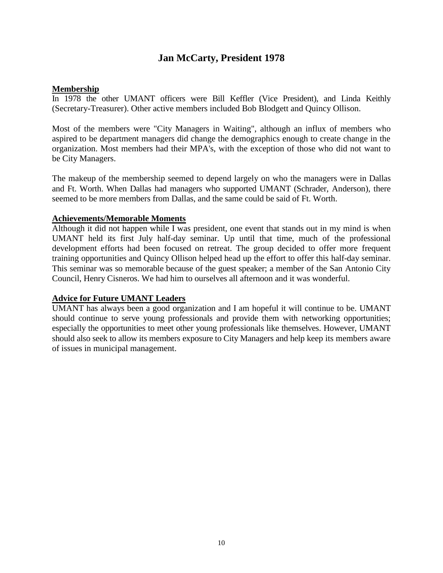# **Jan McCarty, President 1978**

#### **Membership**

In 1978 the other UMANT officers were Bill Keffler (Vice President), and Linda Keithly (Secretary-Treasurer). Other active members included Bob Blodgett and Quincy Ollison.

Most of the members were "City Managers in Waiting", although an influx of members who aspired to be department managers did change the demographics enough to create change in the organization. Most members had their MPA's, with the exception of those who did not want to be City Managers.

The makeup of the membership seemed to depend largely on who the managers were in Dallas and Ft. Worth. When Dallas had managers who supported UMANT (Schrader, Anderson), there seemed to be more members from Dallas, and the same could be said of Ft. Worth.

#### **Achievements/Memorable Moments**

Although it did not happen while I was president, one event that stands out in my mind is when UMANT held its first July half-day seminar. Up until that time, much of the professional development efforts had been focused on retreat. The group decided to offer more frequent training opportunities and Quincy Ollison helped head up the effort to offer this half-day seminar. This seminar was so memorable because of the guest speaker; a member of the San Antonio City Council, Henry Cisneros. We had him to ourselves all afternoon and it was wonderful.

#### **Advice for Future UMANT Leaders**

UMANT has always been a good organization and I am hopeful it will continue to be. UMANT should continue to serve young professionals and provide them with networking opportunities; especially the opportunities to meet other young professionals like themselves. However, UMANT should also seek to allow its members exposure to City Managers and help keep its members aware of issues in municipal management.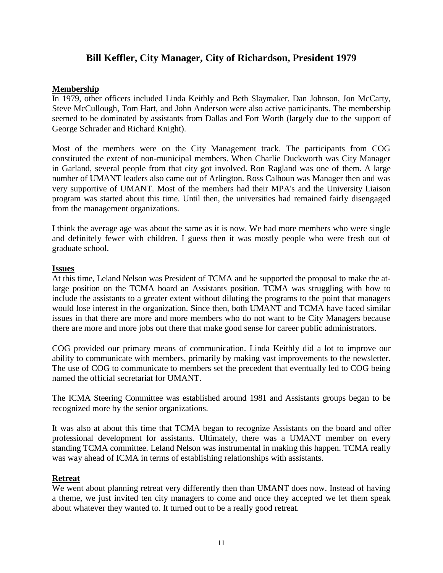# **Bill Keffler, City Manager, City of Richardson, President 1979**

#### **Membership**

In 1979, other officers included Linda Keithly and Beth Slaymaker. Dan Johnson, Jon McCarty, Steve McCullough, Tom Hart, and John Anderson were also active participants. The membership seemed to be dominated by assistants from Dallas and Fort Worth (largely due to the support of George Schrader and Richard Knight).

Most of the members were on the City Management track. The participants from COG constituted the extent of non-municipal members. When Charlie Duckworth was City Manager in Garland, several people from that city got involved. Ron Ragland was one of them. A large number of UMANT leaders also came out of Arlington. Ross Calhoun was Manager then and was very supportive of UMANT. Most of the members had their MPA's and the University Liaison program was started about this time. Until then, the universities had remained fairly disengaged from the management organizations.

I think the average age was about the same as it is now. We had more members who were single and definitely fewer with children. I guess then it was mostly people who were fresh out of graduate school.

#### **Issues**

At this time, Leland Nelson was President of TCMA and he supported the proposal to make the atlarge position on the TCMA board an Assistants position. TCMA was struggling with how to include the assistants to a greater extent without diluting the programs to the point that managers would lose interest in the organization. Since then, both UMANT and TCMA have faced similar issues in that there are more and more members who do not want to be City Managers because there are more and more jobs out there that make good sense for career public administrators.

COG provided our primary means of communication. Linda Keithly did a lot to improve our ability to communicate with members, primarily by making vast improvements to the newsletter. The use of COG to communicate to members set the precedent that eventually led to COG being named the official secretariat for UMANT.

The ICMA Steering Committee was established around 1981 and Assistants groups began to be recognized more by the senior organizations.

It was also at about this time that TCMA began to recognize Assistants on the board and offer professional development for assistants. Ultimately, there was a UMANT member on every standing TCMA committee. Leland Nelson was instrumental in making this happen. TCMA really was way ahead of ICMA in terms of establishing relationships with assistants.

#### **Retreat**

We went about planning retreat very differently then than UMANT does now. Instead of having a theme, we just invited ten city managers to come and once they accepted we let them speak about whatever they wanted to. It turned out to be a really good retreat.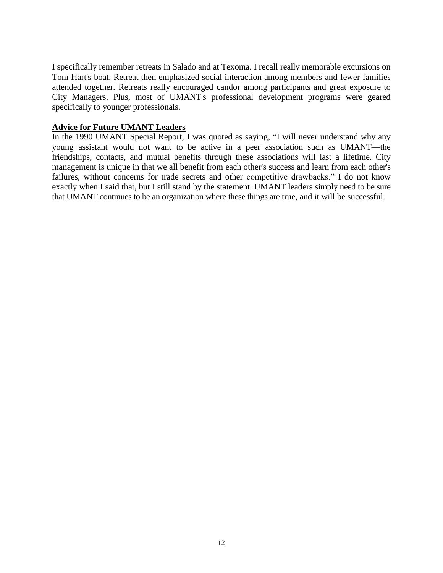I specifically remember retreats in Salado and at Texoma. I recall really memorable excursions on Tom Hart's boat. Retreat then emphasized social interaction among members and fewer families attended together. Retreats really encouraged candor among participants and great exposure to City Managers. Plus, most of UMANT's professional development programs were geared specifically to younger professionals.

# **Advice for Future UMANT Leaders**

In the 1990 UMANT Special Report, I was quoted as saying, "I will never understand why any young assistant would not want to be active in a peer association such as UMANT—the friendships, contacts, and mutual benefits through these associations will last a lifetime. City management is unique in that we all benefit from each other's success and learn from each other's failures, without concerns for trade secrets and other competitive drawbacks." I do not know exactly when I said that, but I still stand by the statement. UMANT leaders simply need to be sure that UMANT continues to be an organization where these things are true, and it will be successful.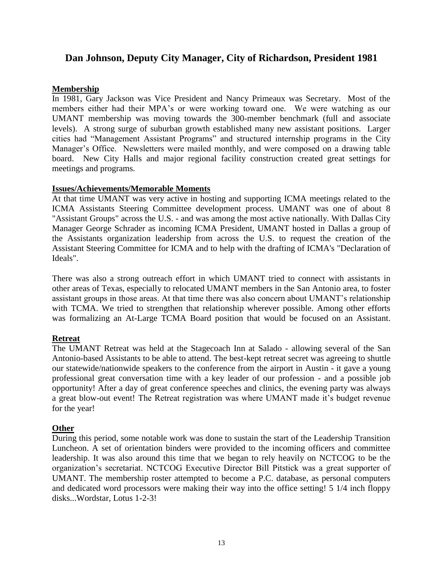# **Dan Johnson, Deputy City Manager, City of Richardson, President 1981**

#### **Membership**

In 1981, Gary Jackson was Vice President and Nancy Primeaux was Secretary. Most of the members either had their MPA's or were working toward one. We were watching as our UMANT membership was moving towards the 300-member benchmark (full and associate levels). A strong surge of suburban growth established many new assistant positions. Larger cities had "Management Assistant Programs" and structured internship programs in the City Manager's Office. Newsletters were mailed monthly, and were composed on a drawing table board. New City Halls and major regional facility construction created great settings for meetings and programs.

#### **Issues/Achievements/Memorable Moments**

At that time UMANT was very active in hosting and supporting ICMA meetings related to the ICMA Assistants Steering Committee development process. UMANT was one of about 8 "Assistant Groups" across the U.S. - and was among the most active nationally. With Dallas City Manager George Schrader as incoming ICMA President, UMANT hosted in Dallas a group of the Assistants organization leadership from across the U.S. to request the creation of the Assistant Steering Committee for ICMA and to help with the drafting of ICMA's "Declaration of Ideals".

There was also a strong outreach effort in which UMANT tried to connect with assistants in other areas of Texas, especially to relocated UMANT members in the San Antonio area, to foster assistant groups in those areas. At that time there was also concern about UMANT's relationship with TCMA. We tried to strengthen that relationship wherever possible. Among other efforts was formalizing an At-Large TCMA Board position that would be focused on an Assistant.

# **Retreat**

The UMANT Retreat was held at the Stagecoach Inn at Salado - allowing several of the San Antonio-based Assistants to be able to attend. The best-kept retreat secret was agreeing to shuttle our statewide/nationwide speakers to the conference from the airport in Austin - it gave a young professional great conversation time with a key leader of our profession - and a possible job opportunity! After a day of great conference speeches and clinics, the evening party was always a great blow-out event! The Retreat registration was where UMANT made it's budget revenue for the year!

# **Other**

During this period, some notable work was done to sustain the start of the Leadership Transition Luncheon. A set of orientation binders were provided to the incoming officers and committee leadership. It was also around this time that we began to rely heavily on NCTCOG to be the organization's secretariat. NCTCOG Executive Director Bill Pitstick was a great supporter of UMANT. The membership roster attempted to become a P.C. database, as personal computers and dedicated word processors were making their way into the office setting! 5 1/4 inch floppy disks...Wordstar, Lotus 1-2-3!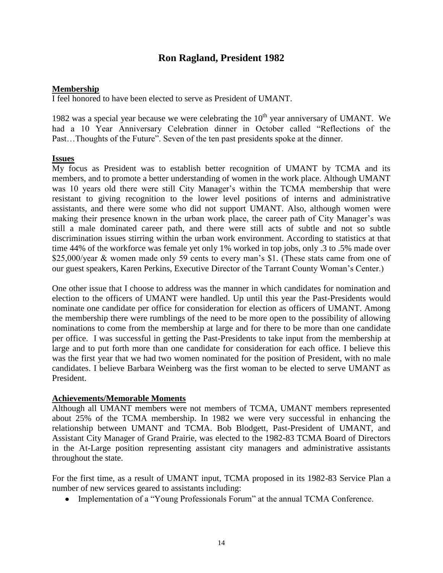# **Ron Ragland, President 1982**

#### **Membership**

I feel honored to have been elected to serve as President of UMANT.

1982 was a special year because we were celebrating the  $10<sup>th</sup>$  year anniversary of UMANT. We had a 10 Year Anniversary Celebration dinner in October called "Reflections of the Past…Thoughts of the Future". Seven of the ten past presidents spoke at the dinner.

#### **Issues**

My focus as President was to establish better recognition of UMANT by TCMA and its members, and to promote a better understanding of women in the work place. Although UMANT was 10 years old there were still City Manager's within the TCMA membership that were resistant to giving recognition to the lower level positions of interns and administrative assistants, and there were some who did not support UMANT. Also, although women were making their presence known in the urban work place, the career path of City Manager's was still a male dominated career path, and there were still acts of subtle and not so subtle discrimination issues stirring within the urban work environment. According to statistics at that time 44% of the workforce was female yet only 1% worked in top jobs, only .3 to .5% made over \$25,000/year & women made only 59 cents to every man's \$1. (These stats came from one of our guest speakers, Karen Perkins, Executive Director of the Tarrant County Woman's Center.)

One other issue that I choose to address was the manner in which candidates for nomination and election to the officers of UMANT were handled. Up until this year the Past-Presidents would nominate one candidate per office for consideration for election as officers of UMANT. Among the membership there were rumblings of the need to be more open to the possibility of allowing nominations to come from the membership at large and for there to be more than one candidate per office. I was successful in getting the Past-Presidents to take input from the membership at large and to put forth more than one candidate for consideration for each office. I believe this was the first year that we had two women nominated for the position of President, with no male candidates. I believe Barbara Weinberg was the first woman to be elected to serve UMANT as President.

#### **Achievements/Memorable Moments**

Although all UMANT members were not members of TCMA, UMANT members represented about 25% of the TCMA membership. In 1982 we were very successful in enhancing the relationship between UMANT and TCMA. Bob Blodgett, Past-President of UMANT, and Assistant City Manager of Grand Prairie, was elected to the 1982-83 TCMA Board of Directors in the At-Large position representing assistant city managers and administrative assistants throughout the state.

For the first time, as a result of UMANT input, TCMA proposed in its 1982-83 Service Plan a number of new services geared to assistants including:

• Implementation of a "Young Professionals Forum" at the annual TCMA Conference.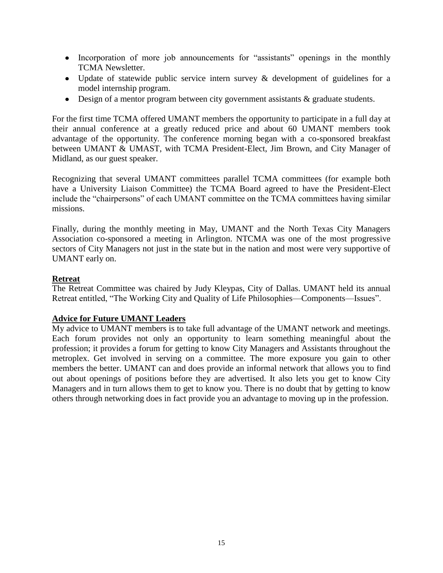- Incorporation of more job announcements for "assistants" openings in the monthly TCMA Newsletter.
- Update of statewide public service intern survey & development of guidelines for a model internship program.
- Design of a mentor program between city government assistants & graduate students.

For the first time TCMA offered UMANT members the opportunity to participate in a full day at their annual conference at a greatly reduced price and about 60 UMANT members took advantage of the opportunity. The conference morning began with a co-sponsored breakfast between UMANT & UMAST, with TCMA President-Elect, Jim Brown, and City Manager of Midland, as our guest speaker.

Recognizing that several UMANT committees parallel TCMA committees (for example both have a University Liaison Committee) the TCMA Board agreed to have the President-Elect include the "chairpersons" of each UMANT committee on the TCMA committees having similar missions.

Finally, during the monthly meeting in May, UMANT and the North Texas City Managers Association co-sponsored a meeting in Arlington. NTCMA was one of the most progressive sectors of City Managers not just in the state but in the nation and most were very supportive of UMANT early on.

#### **Retreat**

The Retreat Committee was chaired by Judy Kleypas, City of Dallas. UMANT held its annual Retreat entitled, "The Working City and Quality of Life Philosophies—Components—Issues".

#### **Advice for Future UMANT Leaders**

My advice to UMANT members is to take full advantage of the UMANT network and meetings. Each forum provides not only an opportunity to learn something meaningful about the profession; it provides a forum for getting to know City Managers and Assistants throughout the metroplex. Get involved in serving on a committee. The more exposure you gain to other members the better. UMANT can and does provide an informal network that allows you to find out about openings of positions before they are advertised. It also lets you get to know City Managers and in turn allows them to get to know you. There is no doubt that by getting to know others through networking does in fact provide you an advantage to moving up in the profession.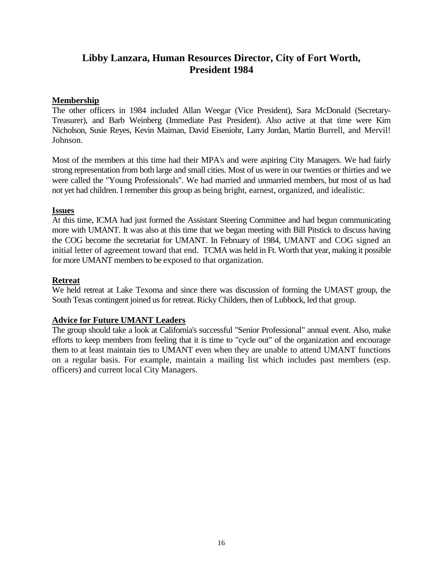# **Libby Lanzara, Human Resources Director, City of Fort Worth, President 1984**

### **Membership**

The other officers in 1984 included Allan Weegar (Vice President), Sara McDonald (Secretary-Treasurer), and Barb Weinberg (Immediate Past President). Also active at that time were Kim Nicholson, Susie Reyes, Kevin Maiman, David Eiseniohr, Larry Jordan, Martin Burrell, and Mervil! Johnson.

Most of the members at this time had their MPA's and were aspiring City Managers. We had fairly strong representation from both large and small cities. Most of us were in our twenties or thirties and we were called the "Young Professionals". We had married and unmarried members, but most of us had not yet had children. I remember this group as being bright, earnest, organized, and idealistic.

#### **Issues**

At this time, ICMA had just formed the Assistant Steering Committee and had begun communicating more with UMANT. It was also at this time that we began meeting with Bill Pitstick to discuss having the COG become the secretariat for UMANT. In February of 1984, UMANT and COG signed an initial letter of agreement toward that end. TCMA was held in Ft. Worth that year, making it possible for more UMANT members to be exposed to that organization.

# **Retreat**

We held retreat at Lake Texoma and since there was discussion of forming the UMAST group, the South Texas contingent joined us for retreat. Ricky Childers, then of Lubbock, led that group.

# **Advice for Future UMANT Leaders**

The group should take a look at California's successful "Senior Professional" annual event. Also, make efforts to keep members from feeling that it is time to "cycle out" of the organization and encourage them to at least maintain ties to UMANT even when they are unable to attend UMANT functions on a regular basis. For example, maintain a mailing list which includes past members (esp. officers) and current local City Managers.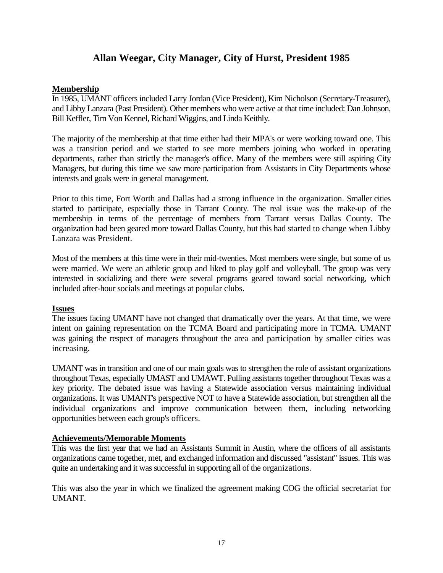# **Allan Weegar, City Manager, City of Hurst, President 1985**

### **Membership**

In 1985, UMANT officers included Larry Jordan (Vice President), Kim Nicholson (Secretary-Treasurer), and Libby Lanzara (Past President). Other members who were active at that time included: Dan Johnson, Bill Keffler, Tim Von Kennel, Richard Wiggins, and Linda Keithly.

The majority of the membership at that time either had their MPA's or were working toward one. This was a transition period and we started to see more members joining who worked in operating departments, rather than strictly the manager's office. Many of the members were still aspiring City Managers, but during this time we saw more participation from Assistants in City Departments whose interests and goals were in general management.

Prior to this time, Fort Worth and Dallas had a strong influence in the organization. Smaller cities started to participate, especially those in Tarrant County. The real issue was the make-up of the membership in terms of the percentage of members from Tarrant versus Dallas County. The organization had been geared more toward Dallas County, but this had started to change when Libby Lanzara was President.

Most of the members at this time were in their mid-twenties. Most members were single, but some of us were married. We were an athletic group and liked to play golf and volleyball. The group was very interested in socializing and there were several programs geared toward social networking, which included after-hour socials and meetings at popular clubs.

#### **Issues**

The issues facing UMANT have not changed that dramatically over the years. At that time, we were intent on gaining representation on the TCMA Board and participating more in TCMA. UMANT was gaining the respect of managers throughout the area and participation by smaller cities was increasing.

UMANT was in transition and one of our main goals was to strengthen the role of assistant organizations throughout Texas, especially UMAST and UMAWT. Pulling assistants together throughout Texas was a key priority. The debated issue was having a Statewide association versus maintaining individual organizations. It was UMANT's perspective NOT to have a Statewide association, but strengthen all the individual organizations and improve communication between them, including networking opportunities between each group's officers.

# **Achievements/Memorable Moments**

This was the first year that we had an Assistants Summit in Austin, where the officers of all assistants organizations came together, met, and exchanged information and discussed "assistant" issues. This was quite an undertaking and it was successful in supporting all of the organizations.

This was also the year in which we finalized the agreement making COG the official secretariat for UMANT.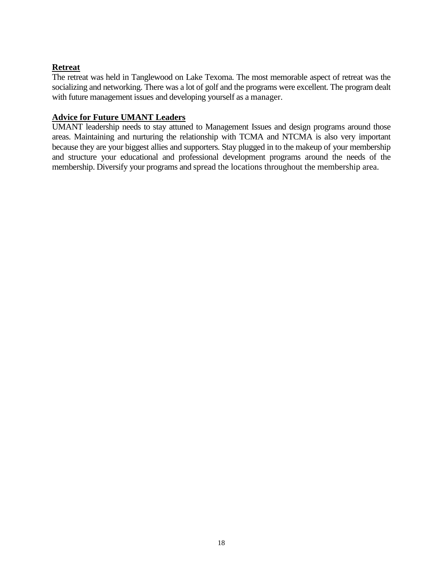# **Retreat**

The retreat was held in Tanglewood on Lake Texoma. The most memorable aspect of retreat was the socializing and networking. There was a lot of golf and the programs were excellent. The program dealt with future management issues and developing yourself as a manager.

# **Advice for Future UMANT Leaders**

UMANT leadership needs to stay attuned to Management Issues and design programs around those areas. Maintaining and nurturing the relationship with TCMA and NTCMA is also very important because they are your biggest allies and supporters. Stay plugged in to the makeup of your membership and structure your educational and professional development programs around the needs of the membership. Diversify your programs and spread the locations throughout the membership area.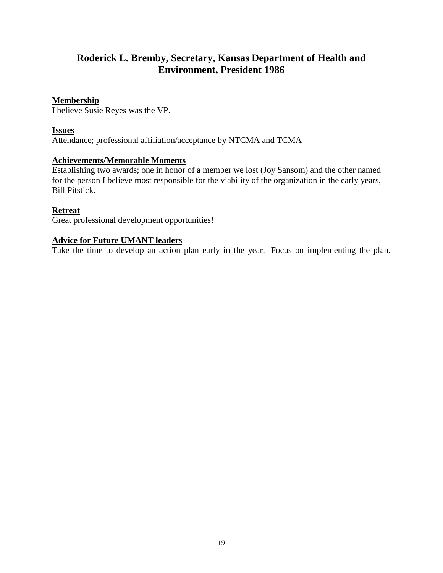# **Roderick L. Bremby, Secretary, Kansas Department of Health and Environment, President 1986**

# **Membership**

I believe Susie Reyes was the VP.

### **Issues**

Attendance; professional affiliation/acceptance by NTCMA and TCMA

# **Achievements/Memorable Moments**

Establishing two awards; one in honor of a member we lost (Joy Sansom) and the other named for the person I believe most responsible for the viability of the organization in the early years, Bill Pitstick.

# **Retreat**

Great professional development opportunities!

# **Advice for Future UMANT leaders**

Take the time to develop an action plan early in the year. Focus on implementing the plan.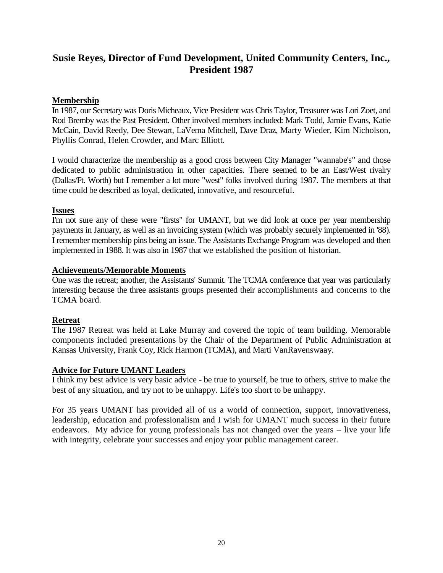# **Susie Reyes, Director of Fund Development, United Community Centers, Inc., President 1987**

# **Membership**

In 1987, our Secretary was Doris Micheaux, Vice President was Chris Taylor, Treasurer was Lori Zoet, and Rod Bremby was the Past President. Other involved members included: Mark Todd, Jamie Evans, Katie McCain, David Reedy, Dee Stewart, LaVema Mitchell, Dave Draz, Marty Wieder, Kim Nicholson, Phyllis Conrad, Helen Crowder, and Marc Elliott.

I would characterize the membership as a good cross between City Manager "wannabe's" and those dedicated to public administration in other capacities. There seemed to be an East/West rivalry (Dallas/Ft. Worth) but I remember a lot more "west" folks involved during 1987. The members at that time could be described as loyal, dedicated, innovative, and resourceful.

#### **Issues**

I'm not sure any of these were "firsts" for UMANT, but we did look at once per year membership payments in January, as well as an invoicing system (which was probably securely implemented in '88). I remember membership pins being an issue. The Assistants Exchange Program was developed and then implemented in 1988. It was also in 1987 that we established the position of historian.

# **Achievements/Memorable Moments**

One was the retreat; another, the Assistants' Summit. The TCMA conference that year was particularly interesting because the three assistants groups presented their accomplishments and concerns to the TCMA board.

# **Retreat**

The 1987 Retreat was held at Lake Murray and covered the topic of team building. Memorable components included presentations by the Chair of the Department of Public Administration at Kansas University, Frank Coy, Rick Harmon (TCMA), and Marti VanRavenswaay.

# **Advice for Future UMANT Leaders**

I think my best advice is very basic advice - be true to yourself, be true to others, strive to make the best of any situation, and try not to be unhappy. Life's too short to be unhappy.

For 35 years UMANT has provided all of us a world of connection, support, innovativeness, leadership, education and professionalism and I wish for UMANT much success in their future endeavors. My advice for young professionals has not changed over the years – live your life with integrity, celebrate your successes and enjoy your public management career.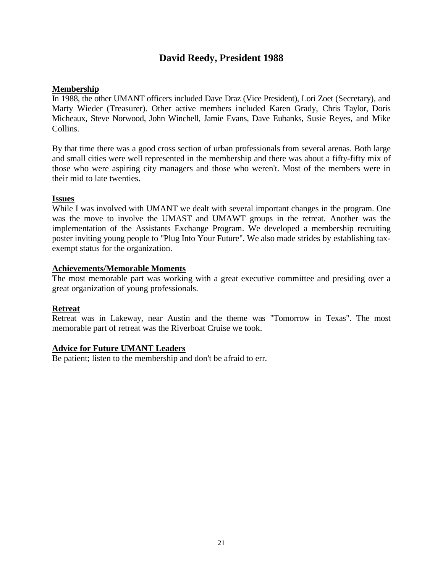# **David Reedy, President 1988**

# **Membership**

In 1988, the other UMANT officers included Dave Draz (Vice President), Lori Zoet (Secretary), and Marty Wieder (Treasurer). Other active members included Karen Grady, Chris Taylor, Doris Micheaux, Steve Norwood, John Winchell, Jamie Evans, Dave Eubanks, Susie Reyes, and Mike Collins.

By that time there was a good cross section of urban professionals from several arenas. Both large and small cities were well represented in the membership and there was about a fifty-fifty mix of those who were aspiring city managers and those who weren't. Most of the members were in their mid to late twenties.

# **Issues**

While I was involved with UMANT we dealt with several important changes in the program. One was the move to involve the UMAST and UMAWT groups in the retreat. Another was the implementation of the Assistants Exchange Program. We developed a membership recruiting poster inviting young people to "Plug Into Your Future". We also made strides by establishing taxexempt status for the organization.

# **Achievements/Memorable Moments**

The most memorable part was working with a great executive committee and presiding over a great organization of young professionals.

# **Retreat**

Retreat was in Lakeway, near Austin and the theme was "Tomorrow in Texas". The most memorable part of retreat was the Riverboat Cruise we took.

# **Advice for Future UMANT Leaders**

Be patient; listen to the membership and don't be afraid to err.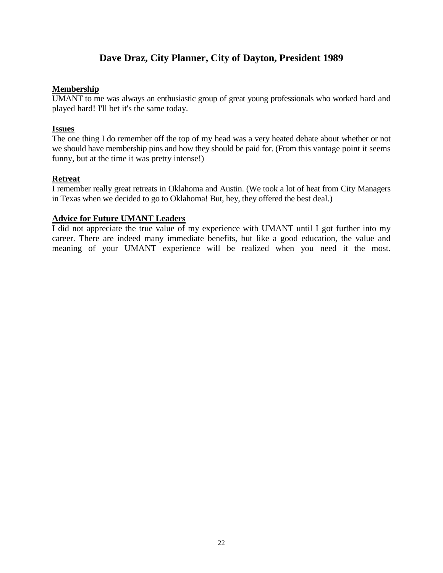# **Dave Draz, City Planner, City of Dayton, President 1989**

#### **Membership**

UMANT to me was always an enthusiastic group of great young professionals who worked hard and played hard! I'll bet it's the same today.

#### **Issues**

The one thing I do remember off the top of my head was a very heated debate about whether or not we should have membership pins and how they should be paid for. (From this vantage point it seems funny, but at the time it was pretty intense!)

#### **Retreat**

I remember really great retreats in Oklahoma and Austin. (We took a lot of heat from City Managers in Texas when we decided to go to Oklahoma! But, hey, they offered the best deal.)

#### **Advice for Future UMANT Leaders**

I did not appreciate the true value of my experience with UMANT until I got further into my career. There are indeed many immediate benefits, but like a good education, the value and meaning of your UMANT experience will be realized when you need it the most.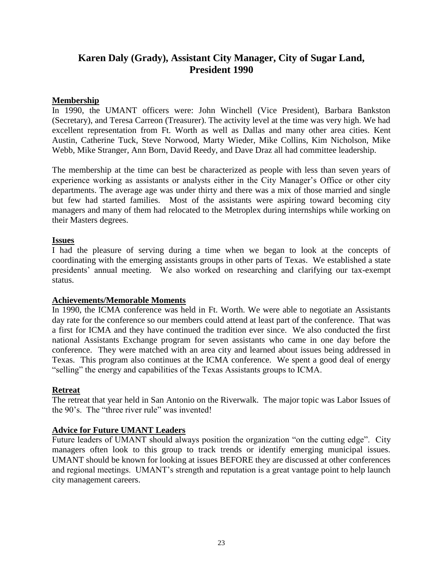# **Karen Daly (Grady), Assistant City Manager, City of Sugar Land, President 1990**

### **Membership**

In 1990, the UMANT officers were: John Winchell (Vice President), Barbara Bankston (Secretary), and Teresa Carreon (Treasurer). The activity level at the time was very high. We had excellent representation from Ft. Worth as well as Dallas and many other area cities. Kent Austin, Catherine Tuck, Steve Norwood, Marty Wieder, Mike Collins, Kim Nicholson, Mike Webb, Mike Stranger, Ann Born, David Reedy, and Dave Draz all had committee leadership.

The membership at the time can best be characterized as people with less than seven years of experience working as assistants or analysts either in the City Manager's Office or other city departments. The average age was under thirty and there was a mix of those married and single but few had started families. Most of the assistants were aspiring toward becoming city managers and many of them had relocated to the Metroplex during internships while working on their Masters degrees.

#### **Issues**

I had the pleasure of serving during a time when we began to look at the concepts of coordinating with the emerging assistants groups in other parts of Texas. We established a state presidents' annual meeting. We also worked on researching and clarifying our tax-exempt status.

#### **Achievements/Memorable Moments**

In 1990, the ICMA conference was held in Ft. Worth. We were able to negotiate an Assistants day rate for the conference so our members could attend at least part of the conference. That was a first for ICMA and they have continued the tradition ever since. We also conducted the first national Assistants Exchange program for seven assistants who came in one day before the conference. They were matched with an area city and learned about issues being addressed in Texas. This program also continues at the ICMA conference. We spent a good deal of energy "selling" the energy and capabilities of the Texas Assistants groups to ICMA.

#### **Retreat**

The retreat that year held in San Antonio on the Riverwalk. The major topic was Labor Issues of the 90's. The "three river rule" was invented!

# **Advice for Future UMANT Leaders**

Future leaders of UMANT should always position the organization "on the cutting edge". City managers often look to this group to track trends or identify emerging municipal issues. UMANT should be known for looking at issues BEFORE they are discussed at other conferences and regional meetings. UMANT's strength and reputation is a great vantage point to help launch city management careers.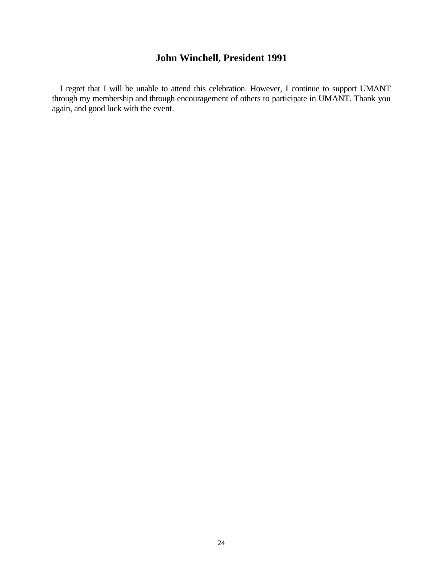# **John Winchell, President 1991**

I regret that I will be unable to attend this celebration. However, I continue to support UMANT through my membership and through encouragement of others to participate in UMANT. Thank you again, and good luck with the event.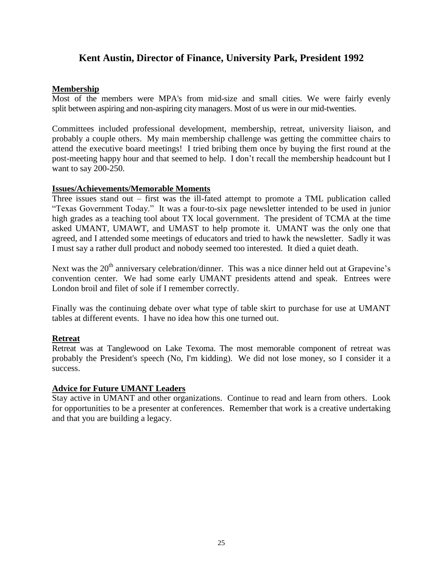# **Kent Austin, Director of Finance, University Park, President 1992**

# **Membership**

Most of the members were MPA's from mid-size and small cities. We were fairly evenly split between aspiring and non-aspiring city managers. Most of us were in our mid-twenties.

Committees included professional development, membership, retreat, university liaison, and probably a couple others. My main membership challenge was getting the committee chairs to attend the executive board meetings! I tried bribing them once by buying the first round at the post-meeting happy hour and that seemed to help. I don't recall the membership headcount but I want to say 200-250.

# **Issues/Achievements/Memorable Moments**

Three issues stand out – first was the ill-fated attempt to promote a TML publication called "Texas Government Today." It was a four-to-six page newsletter intended to be used in junior high grades as a teaching tool about TX local government. The president of TCMA at the time asked UMANT, UMAWT, and UMAST to help promote it. UMANT was the only one that agreed, and I attended some meetings of educators and tried to hawk the newsletter. Sadly it was I must say a rather dull product and nobody seemed too interested. It died a quiet death.

Next was the 20<sup>th</sup> anniversary celebration/dinner. This was a nice dinner held out at Grapevine's convention center. We had some early UMANT presidents attend and speak. Entrees were London broil and filet of sole if I remember correctly.

Finally was the continuing debate over what type of table skirt to purchase for use at UMANT tables at different events. I have no idea how this one turned out.

# **Retreat**

Retreat was at Tanglewood on Lake Texoma. The most memorable component of retreat was probably the President's speech (No, I'm kidding). We did not lose money, so I consider it a success.

#### **Advice for Future UMANT Leaders**

Stay active in UMANT and other organizations. Continue to read and learn from others. Look for opportunities to be a presenter at conferences. Remember that work is a creative undertaking and that you are building a legacy.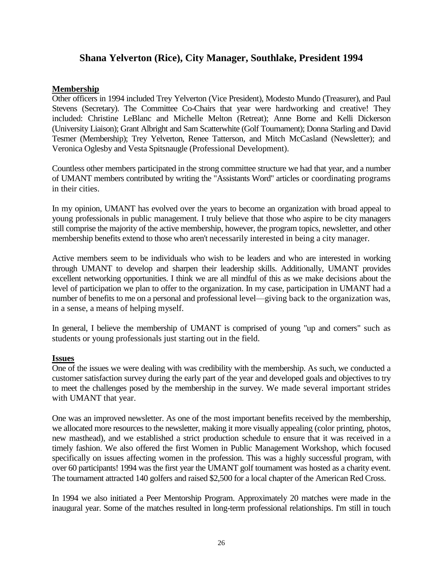# **Shana Yelverton (Rice), City Manager, Southlake, President 1994**

#### **Membership**

Other officers in 1994 included Trey Yelverton (Vice President), Modesto Mundo (Treasurer), and Paul Stevens (Secretary). The Committee Co-Chairs that year were hardworking and creative! They included: Christine LeBlanc and Michelle Melton (Retreat); Anne Borne and Kelli Dickerson (University Liaison); Grant Albright and Sam Scatterwhite (Golf Tournament); Donna Starling and David Tesmer (Membership); Trey Yelverton, Renee Tatterson, and Mitch McCasland (Newsletter); and Veronica Oglesby and Vesta Spitsnaugle (Professional Development).

Countless other members participated in the strong committee structure we had that year, and a number of UMANT members contributed by writing the "Assistants Word" articles or coordinating programs in their cities.

In my opinion, UMANT has evolved over the years to become an organization with broad appeal to young professionals in public management. I truly believe that those who aspire to be city managers still comprise the majority of the active membership, however, the program topics, newsletter, and other membership benefits extend to those who aren't necessarily interested in being a city manager.

Active members seem to be individuals who wish to be leaders and who are interested in working through UMANT to develop and sharpen their leadership skills. Additionally, UMANT provides excellent networking opportunities. I think we are all mindful of this as we make decisions about the level of participation we plan to offer to the organization. In my case, participation in UMANT had a number of benefits to me on a personal and professional level—giving back to the organization was, in a sense, a means of helping myself.

In general, I believe the membership of UMANT is comprised of young "up and corners" such as students or young professionals just starting out in the field.

#### **Issues**

One of the issues we were dealing with was credibility with the membership. As such, we conducted a customer satisfaction survey during the early part of the year and developed goals and objectives to try to meet the challenges posed by the membership in the survey. We made several important strides with UMANT that year.

One was an improved newsletter. As one of the most important benefits received by the membership, we allocated more resources to the newsletter, making it more visually appealing (color printing, photos, new masthead), and we established a strict production schedule to ensure that it was received in a timely fashion. We also offered the first Women in Public Management Workshop, which focused specifically on issues affecting women in the profession. This was a highly successful program, with over 60 participants! 1994 was the first year the UMANT golf tournament was hosted as a charity event. The tournament attracted 140 golfers and raised \$2,500 for a local chapter of the American Red Cross.

In 1994 we also initiated a Peer Mentorship Program. Approximately 20 matches were made in the inaugural year. Some of the matches resulted in long-term professional relationships. I'm still in touch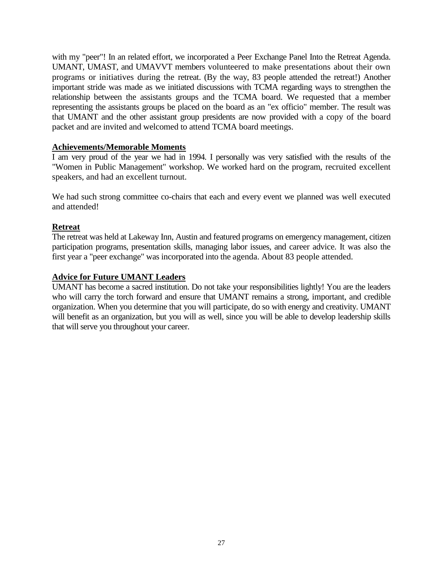with my "peer"! In an related effort, we incorporated a Peer Exchange Panel Into the Retreat Agenda. UMANT, UMAST, and UMAVVT members volunteered to make presentations about their own programs or initiatives during the retreat. (By the way, 83 people attended the retreat!) Another important stride was made as we initiated discussions with TCMA regarding ways to strengthen the relationship between the assistants groups and the TCMA board. We requested that a member representing the assistants groups be placed on the board as an "ex officio" member. The result was that UMANT and the other assistant group presidents are now provided with a copy of the board packet and are invited and welcomed to attend TCMA board meetings.

#### **Achievements/Memorable Moments**

I am very proud of the year we had in 1994. I personally was very satisfied with the results of the "Women in Public Management" workshop. We worked hard on the program, recruited excellent speakers, and had an excellent turnout.

We had such strong committee co-chairs that each and every event we planned was well executed and attended!

# **Retreat**

The retreat was held at Lakeway Inn, Austin and featured programs on emergency management, citizen participation programs, presentation skills, managing labor issues, and career advice. It was also the first year a "peer exchange" was incorporated into the agenda. About 83 people attended.

#### **Advice for Future UMANT Leaders**

UMANT has become a sacred institution. Do not take your responsibilities lightly! You are the leaders who will carry the torch forward and ensure that UMANT remains a strong, important, and credible organization. When you determine that you will participate, do so with energy and creativity. UMANT will benefit as an organization, but you will as well, since you will be able to develop leadership skills that will serve you throughout your career.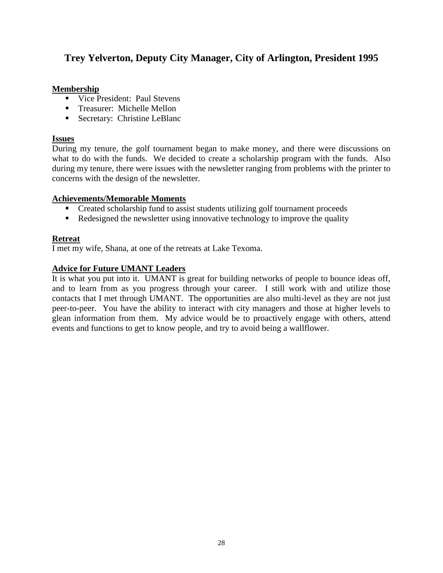# **Trey Yelverton, Deputy City Manager, City of Arlington, President 1995**

### **Membership**

- Vice President: Paul Stevens
- **Treasurer: Michelle Mellon**
- **Secretary: Christine LeBlanc**

# **Issues**

During my tenure, the golf tournament began to make money, and there were discussions on what to do with the funds. We decided to create a scholarship program with the funds. Also during my tenure, there were issues with the newsletter ranging from problems with the printer to concerns with the design of the newsletter.

# **Achievements/Memorable Moments**

- Created scholarship fund to assist students utilizing golf tournament proceeds
- Redesigned the newsletter using innovative technology to improve the quality

# **Retreat**

I met my wife, Shana, at one of the retreats at Lake Texoma.

# **Advice for Future UMANT Leaders**

It is what you put into it. UMANT is great for building networks of people to bounce ideas off, and to learn from as you progress through your career. I still work with and utilize those contacts that I met through UMANT. The opportunities are also multi-level as they are not just peer-to-peer. You have the ability to interact with city managers and those at higher levels to glean information from them. My advice would be to proactively engage with others, attend events and functions to get to know people, and try to avoid being a wallflower.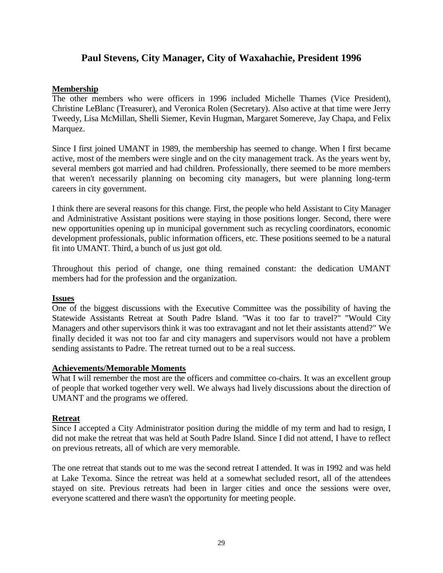# **Paul Stevens, City Manager, City of Waxahachie, President 1996**

#### **Membership**

The other members who were officers in 1996 included Michelle Thames (Vice President), Christine LeBlanc (Treasurer), and Veronica Rolen (Secretary). Also active at that time were Jerry Tweedy, Lisa McMillan, Shelli Siemer, Kevin Hugman, Margaret Somereve, Jay Chapa, and Felix Marquez.

Since I first joined UMANT in 1989, the membership has seemed to change. When I first became active, most of the members were single and on the city management track. As the years went by, several members got married and had children. Professionally, there seemed to be more members that weren't necessarily planning on becoming city managers, but were planning long-term careers in city government.

I think there are several reasons for this change. First, the people who held Assistant to City Manager and Administrative Assistant positions were staying in those positions longer. Second, there were new opportunities opening up in municipal government such as recycling coordinators, economic development professionals, public information officers, etc. These positions seemed to be a natural fit into UMANT. Third, a bunch of us just got old.

Throughout this period of change, one thing remained constant: the dedication UMANT members had for the profession and the organization.

#### **Issues**

One of the biggest discussions with the Executive Committee was the possibility of having the Statewide Assistants Retreat at South Padre Island. "Was it too far to travel?" "Would City Managers and other supervisors think it was too extravagant and not let their assistants attend?" We finally decided it was not too far and city managers and supervisors would not have a problem sending assistants to Padre. The retreat turned out to be a real success.

#### **Achievements/Memorable Moments**

What I will remember the most are the officers and committee co-chairs. It was an excellent group of people that worked together very well. We always had lively discussions about the direction of UMANT and the programs we offered.

#### **Retreat**

Since I accepted a City Administrator position during the middle of my term and had to resign, I did not make the retreat that was held at South Padre Island. Since I did not attend, I have to reflect on previous retreats, all of which are very memorable.

The one retreat that stands out to me was the second retreat I attended. It was in 1992 and was held at Lake Texoma. Since the retreat was held at a somewhat secluded resort, all of the attendees stayed on site. Previous retreats had been in larger cities and once the sessions were over, everyone scattered and there wasn't the opportunity for meeting people.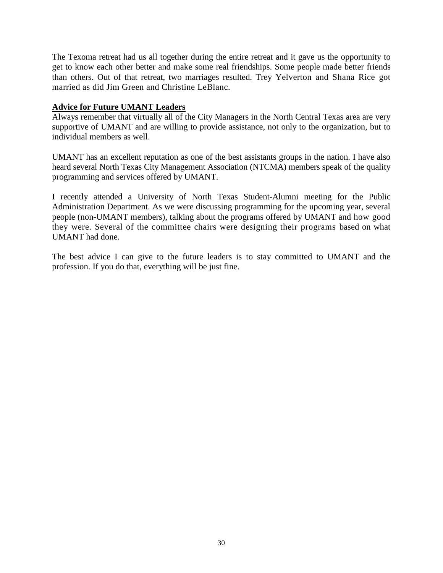The Texoma retreat had us all together during the entire retreat and it gave us the opportunity to get to know each other better and make some real friendships. Some people made better friends than others. Out of that retreat, two marriages resulted. Trey Yelverton and Shana Rice got married as did Jim Green and Christine LeBlanc.

# **Advice for Future UMANT Leaders**

Always remember that virtually all of the City Managers in the North Central Texas area are very supportive of UMANT and are willing to provide assistance, not only to the organization, but to individual members as well.

UMANT has an excellent reputation as one of the best assistants groups in the nation. I have also heard several North Texas City Management Association (NTCMA) members speak of the quality programming and services offered by UMANT.

I recently attended a University of North Texas Student-Alumni meeting for the Public Administration Department. As we were discussing programming for the upcoming year, several people (non-UMANT members), talking about the programs offered by UMANT and how good they were. Several of the committee chairs were designing their programs based on what UMANT had done.

The best advice I can give to the future leaders is to stay committed to UMANT and the profession. If you do that, everything will be just fine.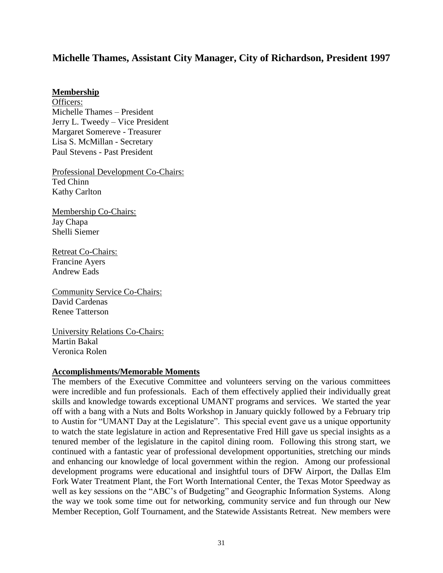# **Michelle Thames, Assistant City Manager, City of Richardson, President 1997**

#### **Membership**

Officers: Michelle Thames – President Jerry L. Tweedy – Vice President Margaret Somereve - Treasurer Lisa S. McMillan - Secretary Paul Stevens - Past President

Professional Development Co-Chairs: Ted Chinn Kathy Carlton

Membership Co-Chairs: Jay Chapa Shelli Siemer

Retreat Co-Chairs: Francine Ayers Andrew Eads

Community Service Co-Chairs: David Cardenas Renee Tatterson

University Relations Co-Chairs: Martin Bakal Veronica Rolen

#### **Accomplishments/Memorable Moments**

The members of the Executive Committee and volunteers serving on the various committees were incredible and fun professionals. Each of them effectively applied their individually great skills and knowledge towards exceptional UMANT programs and services. We started the year off with a bang with a Nuts and Bolts Workshop in January quickly followed by a February trip to Austin for "UMANT Day at the Legislature". This special event gave us a unique opportunity to watch the state legislature in action and Representative Fred Hill gave us special insights as a tenured member of the legislature in the capitol dining room. Following this strong start, we continued with a fantastic year of professional development opportunities, stretching our minds and enhancing our knowledge of local government within the region. Among our professional development programs were educational and insightful tours of DFW Airport, the Dallas Elm Fork Water Treatment Plant, the Fort Worth International Center, the Texas Motor Speedway as well as key sessions on the "ABC's of Budgeting" and Geographic Information Systems. Along the way we took some time out for networking, community service and fun through our New Member Reception, Golf Tournament, and the Statewide Assistants Retreat. New members were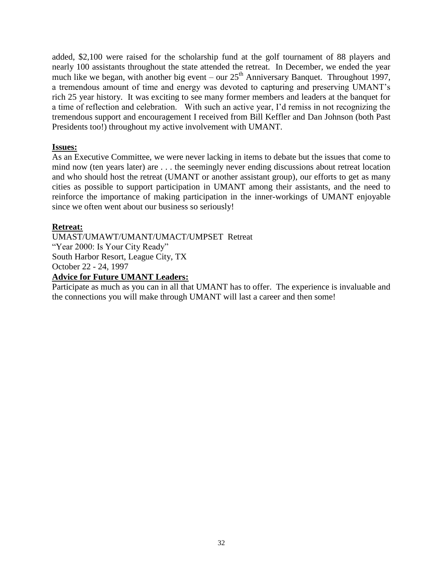added, \$2,100 were raised for the scholarship fund at the golf tournament of 88 players and nearly 100 assistants throughout the state attended the retreat. In December, we ended the year much like we began, with another big event – our  $25<sup>th</sup>$  Anniversary Banquet. Throughout 1997, a tremendous amount of time and energy was devoted to capturing and preserving UMANT's rich 25 year history. It was exciting to see many former members and leaders at the banquet for a time of reflection and celebration. With such an active year, I'd remiss in not recognizing the tremendous support and encouragement I received from Bill Keffler and Dan Johnson (both Past Presidents too!) throughout my active involvement with UMANT.

# **Issues:**

As an Executive Committee, we were never lacking in items to debate but the issues that come to mind now (ten years later) are . . . the seemingly never ending discussions about retreat location and who should host the retreat (UMANT or another assistant group), our efforts to get as many cities as possible to support participation in UMANT among their assistants, and the need to reinforce the importance of making participation in the inner-workings of UMANT enjoyable since we often went about our business so seriously!

# **Retreat:**

UMAST/UMAWT/UMANT/UMACT/UMPSET Retreat "Year 2000: Is Your City Ready" South Harbor Resort, League City, TX October 22 - 24, 1997

# **Advice for Future UMANT Leaders:**

Participate as much as you can in all that UMANT has to offer. The experience is invaluable and the connections you will make through UMANT will last a career and then some!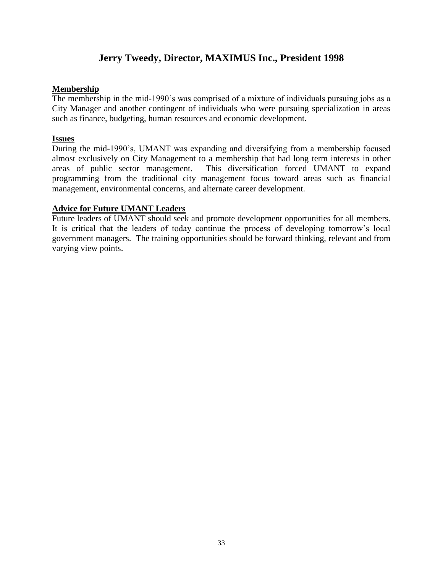# **Jerry Tweedy, Director, MAXIMUS Inc., President 1998**

### **Membership**

The membership in the mid-1990's was comprised of a mixture of individuals pursuing jobs as a City Manager and another contingent of individuals who were pursuing specialization in areas such as finance, budgeting, human resources and economic development.

# **Issues**

During the mid-1990's, UMANT was expanding and diversifying from a membership focused almost exclusively on City Management to a membership that had long term interests in other areas of public sector management. This diversification forced UMANT to expand programming from the traditional city management focus toward areas such as financial management, environmental concerns, and alternate career development.

# **Advice for Future UMANT Leaders**

Future leaders of UMANT should seek and promote development opportunities for all members. It is critical that the leaders of today continue the process of developing tomorrow's local government managers. The training opportunities should be forward thinking, relevant and from varying view points.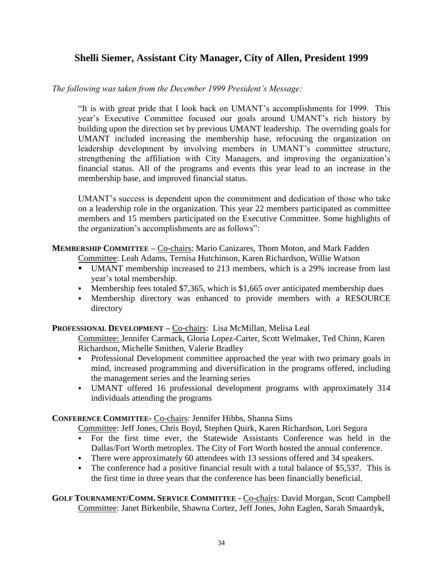# **Shelli Siemer, Assistant City Manager, City of Allen, President 1999**

# *The following was taken from the December 1999 President's Message:*

"It is with great pride that I look back on UMANT's accomplishments for 1999. This year's Executive Committee focused our goals around UMANT's rich history by building upon the direction set by previous UMANT leadership. The overriding goals for UMANT included increasing the membership base, refocusing the organization on leadership development by involving members in UMANT's committee structure, strengthening the affiliation with City Managers, and improving the organization's financial status. All of the programs and events this year lead to an increase in the membership base, and improved financial status.

UMANT's success is dependent upon the commitment and dedication of those who take on a leadership role in the organization. This year 22 members participated as committee members and 15 members participated on the Executive Committee. Some highlights of the organization's accomplishments are as follows":

# **MEMBERSHIP COMMITTEE –** Co-chairs: Mario Canizares, Thom Moton, and Mark Fadden

Committee: Leah Adams, Ternisa Hutchinson, Karen Richardson, Willie Watson

- UMANT membership increased to 213 members, which is a 29% increase from last year's total membership.
- Membership fees totaled  $$7,365$ , which is  $$1,665$  over anticipated membership dues
- Membership directory was enhanced to provide members with a RESOURCE directory

#### **PROFESSIONAL DEVELOPMENT –** Co-chairs: Lisa McMillan, Melisa Leal

Committee: Jennifer Carmack, Gloria Lopez-Carter, Scott Welmaker, Ted Chinn, Karen Richardson, Michelle Smithen, Valerie Bradley

- Professional Development committee approached the year with two primary goals in mind, increased programming and diversification in the programs offered, including the management series and the learning series
- UMANT offered 16 professional development programs with approximately 314 individuals attending the programs

**CONFERENCE COMMITTEE-** Co-chairs: Jennifer Hibbs, Shanna Sims

Committee: Jeff Jones, Chris Boyd, Stephen Quirk, Karen Richardson, Lori Segura

- For the first time ever, the Statewide Assistants Conference was held in the Dallas/Fort Worth metroplex. The City of Fort Worth hosted the annual conference.
- There were approximately 60 attendees with 13 sessions offered and 34 speakers.
- The conference had a positive financial result with a total balance of \$5,537. This is the first time in three years that the conference has been financially beneficial.

**GOLF TOURNAMENT/COMM. SERVICE COMMITTEE -** Co-chairs: David Morgan, Scott Campbell Committee: Janet Birkenbile, Shawna Cortez, Jeff Jones, John Eaglen, Sarah Smaardyk,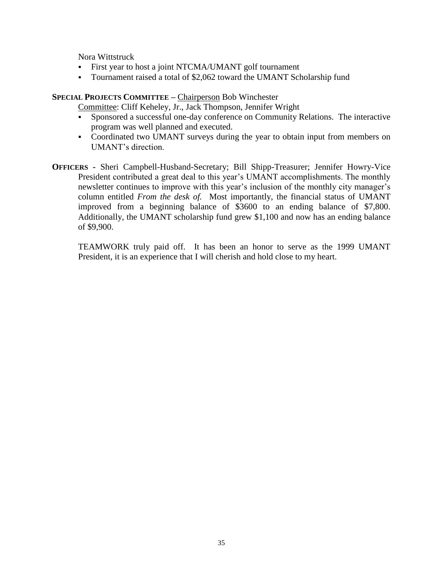Nora Wittstruck

- First year to host a joint NTCMA/UMANT golf tournament
- Tournament raised a total of \$2,062 toward the UMANT Scholarship fund

### **SPECIAL PROJECTS COMMITTEE –** Chairperson Bob Winchester

Committee: Cliff Keheley, Jr., Jack Thompson, Jennifer Wright

- Sponsored a successful one-day conference on Community Relations. The interactive program was well planned and executed.
- Coordinated two UMANT surveys during the year to obtain input from members on UMANT's direction.
- **OFFICERS -** Sheri Campbell-Husband-Secretary; Bill Shipp-Treasurer; Jennifer Howry-Vice President contributed a great deal to this year's UMANT accomplishments. The monthly newsletter continues to improve with this year's inclusion of the monthly city manager's column entitled *From the desk of.* Most importantly, the financial status of UMANT improved from a beginning balance of \$3600 to an ending balance of \$7,800. Additionally, the UMANT scholarship fund grew \$1,100 and now has an ending balance of \$9,900.

TEAMWORK truly paid off. It has been an honor to serve as the 1999 UMANT President, it is an experience that I will cherish and hold close to my heart.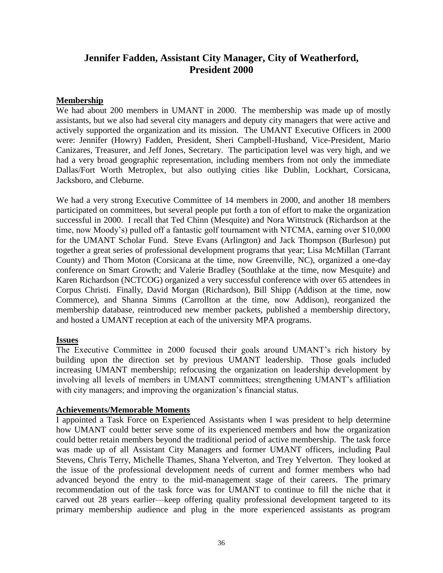# **Jennifer Fadden, Assistant City Manager, City of Weatherford, President 2000**

#### **Membership**

We had about 200 members in UMANT in 2000. The membership was made up of mostly assistants, but we also had several city managers and deputy city managers that were active and actively supported the organization and its mission. The UMANT Executive Officers in 2000 were: Jennifer (Howry) Fadden, President, Sheri Campbell-Husband, Vice-President, Mario Canizares, Treasurer, and Jeff Jones, Secretary. The participation level was very high, and we had a very broad geographic representation, including members from not only the immediate Dallas/Fort Worth Metroplex, but also outlying cities like Dublin, Lockhart, Corsicana, Jacksboro, and Cleburne.

We had a very strong Executive Committee of 14 members in 2000, and another 18 members participated on committees, but several people put forth a ton of effort to make the organization successful in 2000. I recall that Ted Chinn (Mesquite) and Nora Wittstruck (Richardson at the time, now Moody's) pulled off a fantastic golf tournament with NTCMA, earning over \$10,000 for the UMANT Scholar Fund. Steve Evans (Arlington) and Jack Thompson (Burleson) put together a great series of professional development programs that year; Lisa McMillan (Tarrant County) and Thom Moton (Corsicana at the time, now Greenville, NC), organized a one-day conference on Smart Growth; and Valerie Bradley (Southlake at the time, now Mesquite) and Karen Richardson (NCTCOG) organized a very successful conference with over 65 attendees in Corpus Christi. Finally, David Morgan (Richardson), Bill Shipp (Addison at the time, now Commerce), and Shanna Simms (Carrollton at the time, now Addison), reorganized the membership database, reintroduced new member packets, published a membership directory, and hosted a UMANT reception at each of the university MPA programs.

#### **Issues**

The Executive Committee in 2000 focused their goals around UMANT's rich history by building upon the direction set by previous UMANT leadership. Those goals included increasing UMANT membership; refocusing the organization on leadership development by involving all levels of members in UMANT committees; strengthening UMANT's affiliation with city managers; and improving the organization's financial status.

#### **Achievements/Memorable Moments**

I appointed a Task Force on Experienced Assistants when I was president to help determine how UMANT could better serve some of its experienced members and how the organization could better retain members beyond the traditional period of active membership. The task force was made up of all Assistant City Managers and former UMANT officers, including Paul Stevens, Chris Terry, Michelle Thames, Shana Yelverton, and Trey Yelverton. They looked at the issue of the professional development needs of current and former members who had advanced beyond the entry to the mid-management stage of their careers. The primary recommendation out of the task force was for UMANT to continue to fill the niche that it carved out 28 years earlier—keep offering quality professional development targeted to its primary membership audience and plug in the more experienced assistants as program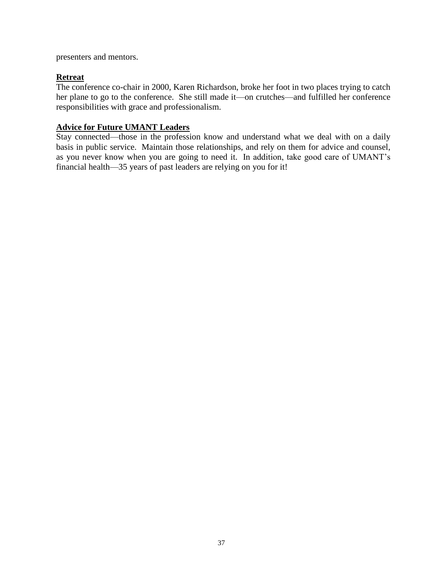presenters and mentors.

# **Retreat**

The conference co-chair in 2000, Karen Richardson, broke her foot in two places trying to catch her plane to go to the conference. She still made it—on crutches—and fulfilled her conference responsibilities with grace and professionalism.

# **Advice for Future UMANT Leaders**

Stay connected—those in the profession know and understand what we deal with on a daily basis in public service. Maintain those relationships, and rely on them for advice and counsel, as you never know when you are going to need it. In addition, take good care of UMANT's financial health—35 years of past leaders are relying on you for it!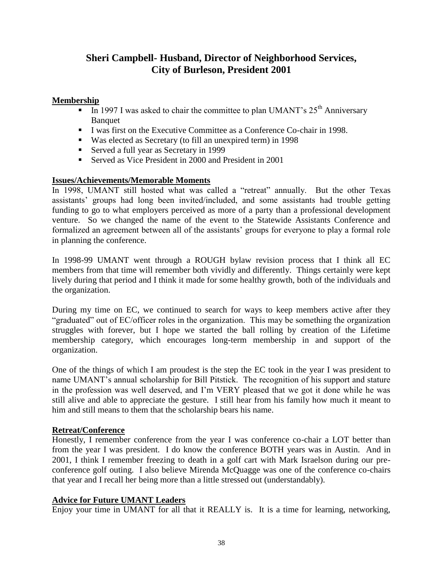# **Sheri Campbell- Husband, Director of Neighborhood Services, City of Burleson, President 2001**

# **Membership**

- In 1997 I was asked to chair the committee to plan UMANT's  $25<sup>th</sup>$  Anniversary **Banquet**
- I was first on the Executive Committee as a Conference Co-chair in 1998.
- Was elected as Secretary (to fill an unexpired term) in 1998
- Served a full year as Secretary in 1999
- Served as Vice President in 2000 and President in 2001

#### **Issues/Achievements/Memorable Moments**

In 1998, UMANT still hosted what was called a "retreat" annually. But the other Texas assistants' groups had long been invited/included, and some assistants had trouble getting funding to go to what employers perceived as more of a party than a professional development venture. So we changed the name of the event to the Statewide Assistants Conference and formalized an agreement between all of the assistants' groups for everyone to play a formal role in planning the conference.

In 1998-99 UMANT went through a ROUGH bylaw revision process that I think all EC members from that time will remember both vividly and differently. Things certainly were kept lively during that period and I think it made for some healthy growth, both of the individuals and the organization.

During my time on EC, we continued to search for ways to keep members active after they "graduated" out of EC/officer roles in the organization. This may be something the organization struggles with forever, but I hope we started the ball rolling by creation of the Lifetime membership category, which encourages long-term membership in and support of the organization.

One of the things of which I am proudest is the step the EC took in the year I was president to name UMANT's annual scholarship for Bill Pitstick. The recognition of his support and stature in the profession was well deserved, and I'm VERY pleased that we got it done while he was still alive and able to appreciate the gesture. I still hear from his family how much it meant to him and still means to them that the scholarship bears his name.

#### **Retreat/Conference**

Honestly, I remember conference from the year I was conference co-chair a LOT better than from the year I was president. I do know the conference BOTH years was in Austin. And in 2001, I think I remember freezing to death in a golf cart with Mark Israelson during our preconference golf outing. I also believe Mirenda McQuagge was one of the conference co-chairs that year and I recall her being more than a little stressed out (understandably).

#### **Advice for Future UMANT Leaders**

Enjoy your time in UMANT for all that it REALLY is. It is a time for learning, networking,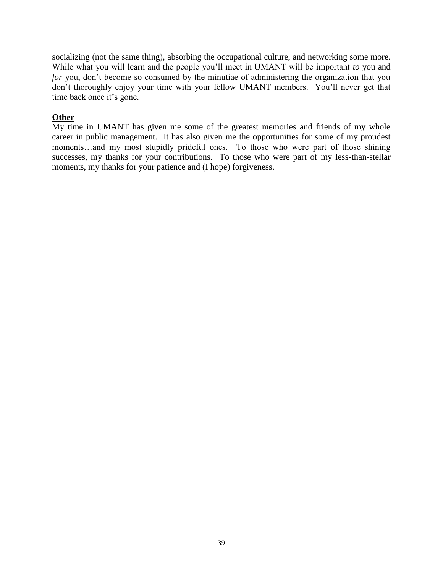socializing (not the same thing), absorbing the occupational culture, and networking some more. While what you will learn and the people you'll meet in UMANT will be important *to* you and *for* you, don't become so consumed by the minutiae of administering the organization that you don't thoroughly enjoy your time with your fellow UMANT members. You'll never get that time back once it's gone.

# **Other**

My time in UMANT has given me some of the greatest memories and friends of my whole career in public management. It has also given me the opportunities for some of my proudest moments…and my most stupidly prideful ones. To those who were part of those shining successes, my thanks for your contributions. To those who were part of my less-than-stellar moments, my thanks for your patience and (I hope) forgiveness.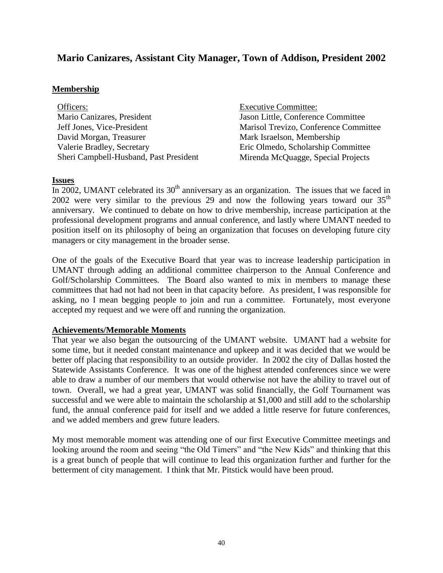# **Mario Canizares, Assistant City Manager, Town of Addison, President 2002**

#### **Membership**

Officers: Mario Canizares, President Jeff Jones, Vice-President David Morgan, Treasurer Valerie Bradley, Secretary Sheri Campbell-Husband, Past President

Executive Committee: Jason Little, Conference Committee Marisol Trevizo, Conference Committee Mark Israelson, Membership Eric Olmedo, Scholarship Committee Mirenda McQuagge, Special Projects

#### **Issues**

In 2002, UMANT celebrated its  $30<sup>th</sup>$  anniversary as an organization. The issues that we faced in 2002 were very similar to the previous 29 and now the following years toward our  $35<sup>th</sup>$ anniversary. We continued to debate on how to drive membership, increase participation at the professional development programs and annual conference, and lastly where UMANT needed to position itself on its philosophy of being an organization that focuses on developing future city managers or city management in the broader sense.

One of the goals of the Executive Board that year was to increase leadership participation in UMANT through adding an additional committee chairperson to the Annual Conference and Golf/Scholarship Committees. The Board also wanted to mix in members to manage these committees that had not had not been in that capacity before. As president, I was responsible for asking, no I mean begging people to join and run a committee. Fortunately, most everyone accepted my request and we were off and running the organization.

#### **Achievements/Memorable Moments**

That year we also began the outsourcing of the UMANT website. UMANT had a website for some time, but it needed constant maintenance and upkeep and it was decided that we would be better off placing that responsibility to an outside provider. In 2002 the city of Dallas hosted the Statewide Assistants Conference. It was one of the highest attended conferences since we were able to draw a number of our members that would otherwise not have the ability to travel out of town. Overall, we had a great year, UMANT was solid financially, the Golf Tournament was successful and we were able to maintain the scholarship at \$1,000 and still add to the scholarship fund, the annual conference paid for itself and we added a little reserve for future conferences, and we added members and grew future leaders.

My most memorable moment was attending one of our first Executive Committee meetings and looking around the room and seeing "the Old Timers" and "the New Kids" and thinking that this is a great bunch of people that will continue to lead this organization further and further for the betterment of city management. I think that Mr. Pitstick would have been proud.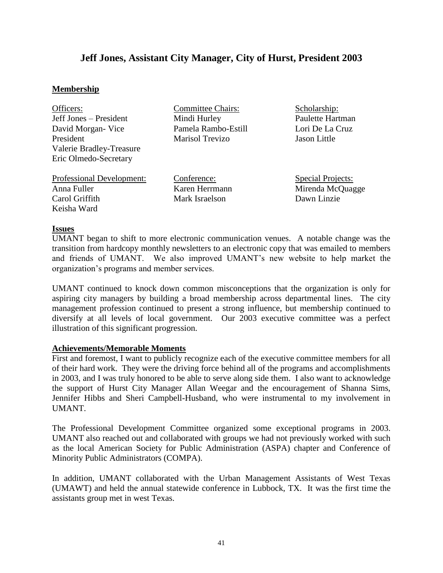# **Jeff Jones, Assistant City Manager, City of Hurst, President 2003**

#### **Membership**

| Officers:                |
|--------------------------|
| Jeff Jones – President   |
| David Morgan - Vice      |
| President                |
| Valerie Bradley-Treasure |
| Eric Olmedo-Secretary    |

Committee Chairs: Mindi Hurley Pamela Rambo-Estill Marisol Trevizo

Scholarship: Paulette Hartman Lori De La Cruz Jason Little

Professional Development: Anna Fuller Carol Griffith Keisha Ward

Conference: Karen Herrmann Mark Israelson

Special Projects: Mirenda McQuagge Dawn Linzie

#### **Issues**

UMANT began to shift to more electronic communication venues. A notable change was the transition from hardcopy monthly newsletters to an electronic copy that was emailed to members and friends of UMANT. We also improved UMANT's new website to help market the organization's programs and member services.

UMANT continued to knock down common misconceptions that the organization is only for aspiring city managers by building a broad membership across departmental lines. The city management profession continued to present a strong influence, but membership continued to diversify at all levels of local government. Our 2003 executive committee was a perfect illustration of this significant progression.

#### **Achievements/Memorable Moments**

First and foremost, I want to publicly recognize each of the executive committee members for all of their hard work. They were the driving force behind all of the programs and accomplishments in 2003, and I was truly honored to be able to serve along side them. I also want to acknowledge the support of Hurst City Manager Allan Weegar and the encouragement of Shanna Sims, Jennifer Hibbs and Sheri Campbell-Husband, who were instrumental to my involvement in UMANT.

The Professional Development Committee organized some exceptional programs in 2003. UMANT also reached out and collaborated with groups we had not previously worked with such as the local American Society for Public Administration (ASPA) chapter and Conference of Minority Public Administrators (COMPA).

In addition, UMANT collaborated with the Urban Management Assistants of West Texas (UMAWT) and held the annual statewide conference in Lubbock, TX. It was the first time the assistants group met in west Texas.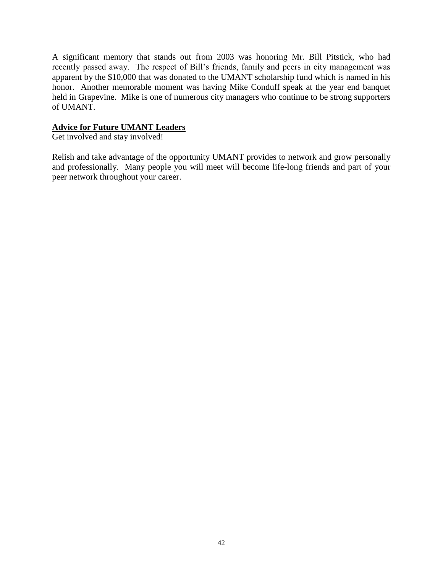A significant memory that stands out from 2003 was honoring Mr. Bill Pitstick, who had recently passed away. The respect of Bill's friends, family and peers in city management was apparent by the \$10,000 that was donated to the UMANT scholarship fund which is named in his honor. Another memorable moment was having Mike Conduff speak at the year end banquet held in Grapevine. Mike is one of numerous city managers who continue to be strong supporters of UMANT.

# **Advice for Future UMANT Leaders**

Get involved and stay involved!

Relish and take advantage of the opportunity UMANT provides to network and grow personally and professionally. Many people you will meet will become life-long friends and part of your peer network throughout your career.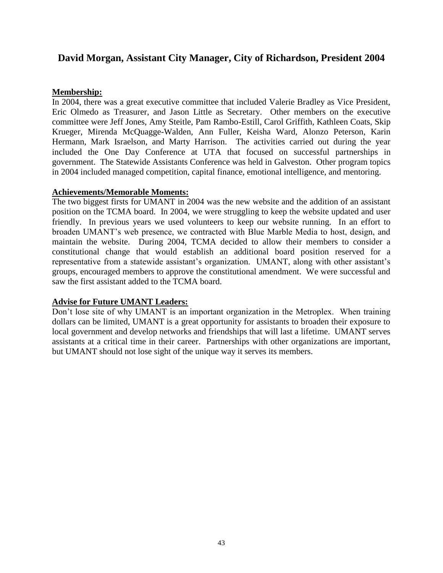# **David Morgan, Assistant City Manager, City of Richardson, President 2004**

### **Membership:**

In 2004, there was a great executive committee that included Valerie Bradley as Vice President, Eric Olmedo as Treasurer, and Jason Little as Secretary. Other members on the executive committee were Jeff Jones, Amy Steitle, Pam Rambo-Estill, Carol Griffith, Kathleen Coats, Skip Krueger, Mirenda McQuagge-Walden, Ann Fuller, Keisha Ward, Alonzo Peterson, Karin Hermann, Mark Israelson, and Marty Harrison. The activities carried out during the year included the One Day Conference at UTA that focused on successful partnerships in government. The Statewide Assistants Conference was held in Galveston. Other program topics in 2004 included managed competition, capital finance, emotional intelligence, and mentoring.

#### **Achievements/Memorable Moments:**

The two biggest firsts for UMANT in 2004 was the new website and the addition of an assistant position on the TCMA board. In 2004, we were struggling to keep the website updated and user friendly. In previous years we used volunteers to keep our website running. In an effort to broaden UMANT's web presence, we contracted with Blue Marble Media to host, design, and maintain the website. During 2004, TCMA decided to allow their members to consider a constitutional change that would establish an additional board position reserved for a representative from a statewide assistant's organization. UMANT, along with other assistant's groups, encouraged members to approve the constitutional amendment. We were successful and saw the first assistant added to the TCMA board.

#### **Advise for Future UMANT Leaders:**

Don't lose site of why UMANT is an important organization in the Metroplex. When training dollars can be limited, UMANT is a great opportunity for assistants to broaden their exposure to local government and develop networks and friendships that will last a lifetime. UMANT serves assistants at a critical time in their career. Partnerships with other organizations are important, but UMANT should not lose sight of the unique way it serves its members.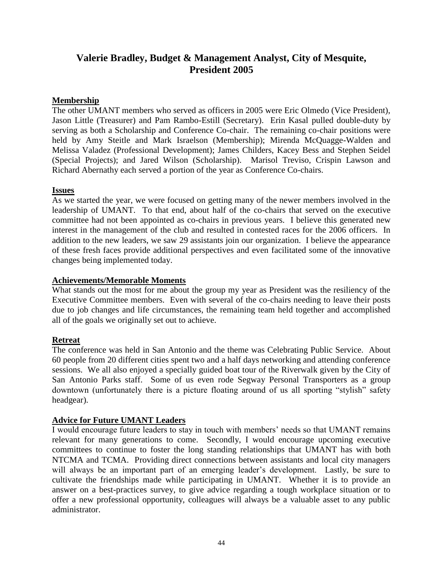# **Valerie Bradley, Budget & Management Analyst, City of Mesquite, President 2005**

# **Membership**

The other UMANT members who served as officers in 2005 were Eric Olmedo (Vice President), Jason Little (Treasurer) and Pam Rambo-Estill (Secretary). Erin Kasal pulled double-duty by serving as both a Scholarship and Conference Co-chair. The remaining co-chair positions were held by Amy Steitle and Mark Israelson (Membership); Mirenda McQuagge-Walden and Melissa Valadez (Professional Development); James Childers, Kacey Bess and Stephen Seidel (Special Projects); and Jared Wilson (Scholarship). Marisol Treviso, Crispin Lawson and Richard Abernathy each served a portion of the year as Conference Co-chairs.

#### **Issues**

As we started the year, we were focused on getting many of the newer members involved in the leadership of UMANT. To that end, about half of the co-chairs that served on the executive committee had not been appointed as co-chairs in previous years. I believe this generated new interest in the management of the club and resulted in contested races for the 2006 officers. In addition to the new leaders, we saw 29 assistants join our organization. I believe the appearance of these fresh faces provide additional perspectives and even facilitated some of the innovative changes being implemented today.

#### **Achievements/Memorable Moments**

What stands out the most for me about the group my year as President was the resiliency of the Executive Committee members. Even with several of the co-chairs needing to leave their posts due to job changes and life circumstances, the remaining team held together and accomplished all of the goals we originally set out to achieve.

#### **Retreat**

The conference was held in San Antonio and the theme was Celebrating Public Service. About 60 people from 20 different cities spent two and a half days networking and attending conference sessions. We all also enjoyed a specially guided boat tour of the Riverwalk given by the City of San Antonio Parks staff. Some of us even rode Segway Personal Transporters as a group downtown (unfortunately there is a picture floating around of us all sporting "stylish" safety headgear).

# **Advice for Future UMANT Leaders**

I would encourage future leaders to stay in touch with members' needs so that UMANT remains relevant for many generations to come. Secondly, I would encourage upcoming executive committees to continue to foster the long standing relationships that UMANT has with both NTCMA and TCMA. Providing direct connections between assistants and local city managers will always be an important part of an emerging leader's development. Lastly, be sure to cultivate the friendships made while participating in UMANT. Whether it is to provide an answer on a best-practices survey, to give advice regarding a tough workplace situation or to offer a new professional opportunity, colleagues will always be a valuable asset to any public administrator.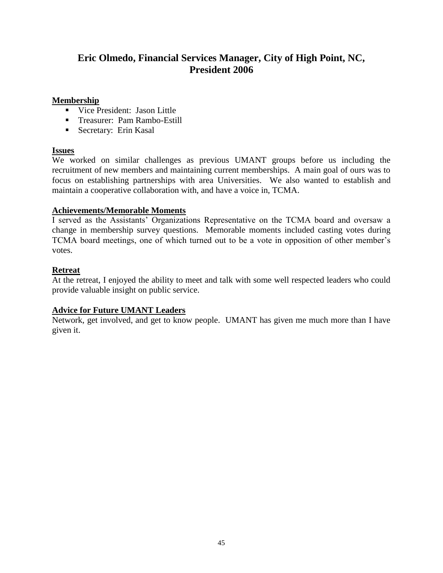# **Eric Olmedo, Financial Services Manager, City of High Point, NC, President 2006**

### **Membership**

- **Vice President: Jason Little**
- **Treasurer: Pam Rambo-Estill**
- **Secretary: Erin Kasal**

# **Issues**

We worked on similar challenges as previous UMANT groups before us including the recruitment of new members and maintaining current memberships. A main goal of ours was to focus on establishing partnerships with area Universities. We also wanted to establish and maintain a cooperative collaboration with, and have a voice in, TCMA.

# **Achievements/Memorable Moments**

I served as the Assistants' Organizations Representative on the TCMA board and oversaw a change in membership survey questions. Memorable moments included casting votes during TCMA board meetings, one of which turned out to be a vote in opposition of other member's votes.

# **Retreat**

At the retreat, I enjoyed the ability to meet and talk with some well respected leaders who could provide valuable insight on public service.

# **Advice for Future UMANT Leaders**

Network, get involved, and get to know people. UMANT has given me much more than I have given it.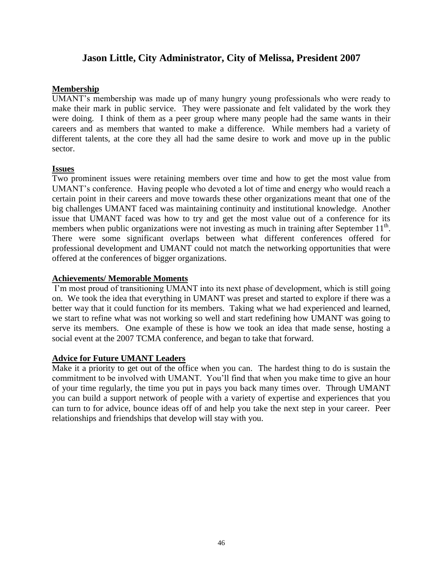# **Jason Little, City Administrator, City of Melissa, President 2007**

# **Membership**

UMANT's membership was made up of many hungry young professionals who were ready to make their mark in public service. They were passionate and felt validated by the work they were doing. I think of them as a peer group where many people had the same wants in their careers and as members that wanted to make a difference. While members had a variety of different talents, at the core they all had the same desire to work and move up in the public sector.

# **Issues**

Two prominent issues were retaining members over time and how to get the most value from UMANT's conference. Having people who devoted a lot of time and energy who would reach a certain point in their careers and move towards these other organizations meant that one of the big challenges UMANT faced was maintaining continuity and institutional knowledge. Another issue that UMANT faced was how to try and get the most value out of a conference for its members when public organizations were not investing as much in training after September  $11<sup>th</sup>$ . There were some significant overlaps between what different conferences offered for professional development and UMANT could not match the networking opportunities that were offered at the conferences of bigger organizations.

# **Achievements/ Memorable Moments**

I'm most proud of transitioning UMANT into its next phase of development, which is still going on. We took the idea that everything in UMANT was preset and started to explore if there was a better way that it could function for its members. Taking what we had experienced and learned, we start to refine what was not working so well and start redefining how UMANT was going to serve its members. One example of these is how we took an idea that made sense, hosting a social event at the 2007 TCMA conference, and began to take that forward.

# **Advice for Future UMANT Leaders**

Make it a priority to get out of the office when you can. The hardest thing to do is sustain the commitment to be involved with UMANT. You'll find that when you make time to give an hour of your time regularly, the time you put in pays you back many times over. Through UMANT you can build a support network of people with a variety of expertise and experiences that you can turn to for advice, bounce ideas off of and help you take the next step in your career. Peer relationships and friendships that develop will stay with you.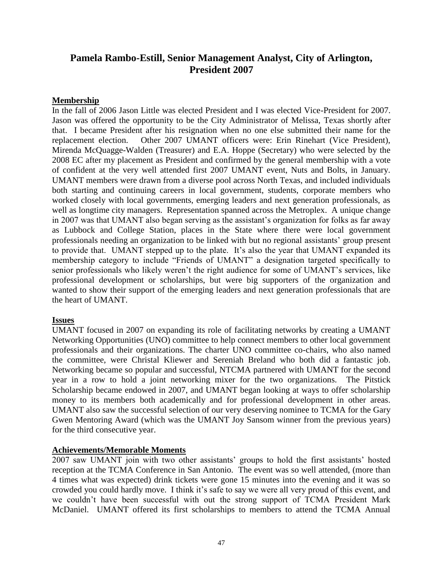# **Pamela Rambo-Estill, Senior Management Analyst, City of Arlington, President 2007**

### **Membership**

In the fall of 2006 Jason Little was elected President and I was elected Vice-President for 2007. Jason was offered the opportunity to be the City Administrator of Melissa, Texas shortly after that. I became President after his resignation when no one else submitted their name for the replacement election. Other 2007 UMANT officers were: Erin Rinehart (Vice President), Mirenda McQuagge-Walden (Treasurer) and E.A. Hoppe (Secretary) who were selected by the 2008 EC after my placement as President and confirmed by the general membership with a vote of confident at the very well attended first 2007 UMANT event, Nuts and Bolts, in January. UMANT members were drawn from a diverse pool across North Texas, and included individuals both starting and continuing careers in local government, students, corporate members who worked closely with local governments, emerging leaders and next generation professionals, as well as longtime city managers. Representation spanned across the Metroplex. A unique change in 2007 was that UMANT also began serving as the assistant's organization for folks as far away as Lubbock and College Station, places in the State where there were local government professionals needing an organization to be linked with but no regional assistants' group present to provide that. UMANT stepped up to the plate. It's also the year that UMANT expanded its membership category to include "Friends of UMANT" a designation targeted specifically to senior professionals who likely weren't the right audience for some of UMANT's services, like professional development or scholarships, but were big supporters of the organization and wanted to show their support of the emerging leaders and next generation professionals that are the heart of UMANT.

#### **Issues**

UMANT focused in 2007 on expanding its role of facilitating networks by creating a UMANT Networking Opportunities (UNO) committee to help connect members to other local government professionals and their organizations. The charter UNO committee co-chairs, who also named the committee, were Christal Kliewer and Sereniah Breland who both did a fantastic job. Networking became so popular and successful, NTCMA partnered with UMANT for the second year in a row to hold a joint networking mixer for the two organizations. The Pitstick Scholarship became endowed in 2007, and UMANT began looking at ways to offer scholarship money to its members both academically and for professional development in other areas. UMANT also saw the successful selection of our very deserving nominee to TCMA for the Gary Gwen Mentoring Award (which was the UMANT Joy Sansom winner from the previous years) for the third consecutive year.

#### **Achievements/Memorable Moments**

2007 saw UMANT join with two other assistants' groups to hold the first assistants' hosted reception at the TCMA Conference in San Antonio. The event was so well attended, (more than 4 times what was expected) drink tickets were gone 15 minutes into the evening and it was so crowded you could hardly move. I think it's safe to say we were all very proud of this event, and we couldn't have been successful with out the strong support of TCMA President Mark McDaniel. UMANT offered its first scholarships to members to attend the TCMA Annual